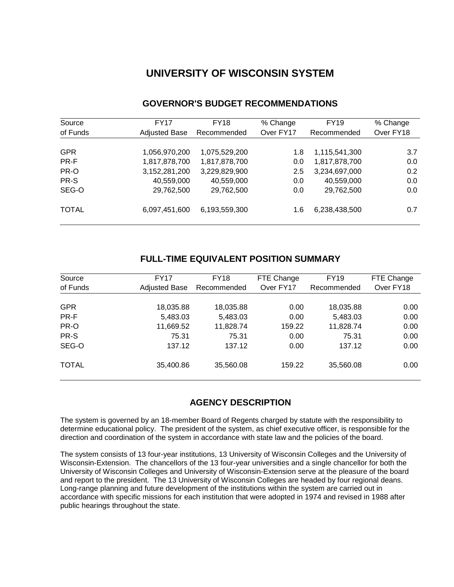# **UNIVERSITY OF WISCONSIN SYSTEM**

| Source       | <b>FY17</b>          | <b>FY18</b>   | % Change  | <b>FY19</b>   | % Change  |
|--------------|----------------------|---------------|-----------|---------------|-----------|
| of Funds     | <b>Adjusted Base</b> | Recommended   | Over FY17 | Recommended   | Over FY18 |
|              |                      |               |           |               |           |
| <b>GPR</b>   | 1,056,970,200        | 1,075,529,200 | 1.8       | 1,115,541,300 | 3.7       |
| PR-F         | 1,817,878,700        | 1,817,878,700 | 0.0       | 1,817,878,700 | 0.0       |
| PR-O         | 3,152,281,200        | 3,229,829,900 | 2.5       | 3,234,697,000 | 0.2       |
| PR-S         | 40,559,000           | 40,559,000    | 0.0       | 40,559,000    | 0.0       |
| SEG-O        | 29,762,500           | 29,762,500    | 0.0       | 29,762,500    | 0.0       |
| <b>TOTAL</b> | 6,097,451,600        | 6,193,559,300 | 1.6       | 6,238,438,500 | 0.7       |

# **GOVERNOR'S BUDGET RECOMMENDATIONS**

# **FULL-TIME EQUIVALENT POSITION SUMMARY**

| Source<br>of Funds | FY17<br><b>Adjusted Base</b> | FY18<br>Recommended | FTE Change<br>Over FY17 | <b>FY19</b><br>Recommended | FTE Change<br>Over FY18 |
|--------------------|------------------------------|---------------------|-------------------------|----------------------------|-------------------------|
| <b>GPR</b>         | 18,035.88                    | 18,035.88           | 0.00                    | 18,035.88                  | 0.00                    |
| PR-F               | 5,483.03                     | 5,483.03            | 0.00                    | 5,483.03                   | 0.00                    |
| PR-O               | 11,669.52                    | 11,828.74           | 159.22                  | 11,828.74                  | 0.00                    |
| PR-S               | 75.31                        | 75.31               | 0.00                    | 75.31                      | 0.00                    |
| SEG-O              | 137.12                       | 137.12              | 0.00                    | 137.12                     | 0.00                    |
| <b>TOTAL</b>       | 35,400.86                    | 35,560.08           | 159.22                  | 35,560.08                  | 0.00                    |

# **AGENCY DESCRIPTION**

The system is governed by an 18-member Board of Regents charged by statute with the responsibility to determine educational policy. The president of the system, as chief executive officer, is responsible for the direction and coordination of the system in accordance with state law and the policies of the board.

The system consists of 13 four-year institutions, 13 University of Wisconsin Colleges and the University of Wisconsin-Extension. The chancellors of the 13 four-year universities and a single chancellor for both the University of Wisconsin Colleges and University of Wisconsin-Extension serve at the pleasure of the board and report to the president. The 13 University of Wisconsin Colleges are headed by four regional deans. Long-range planning and future development of the institutions within the system are carried out in accordance with specific missions for each institution that were adopted in 1974 and revised in 1988 after public hearings throughout the state.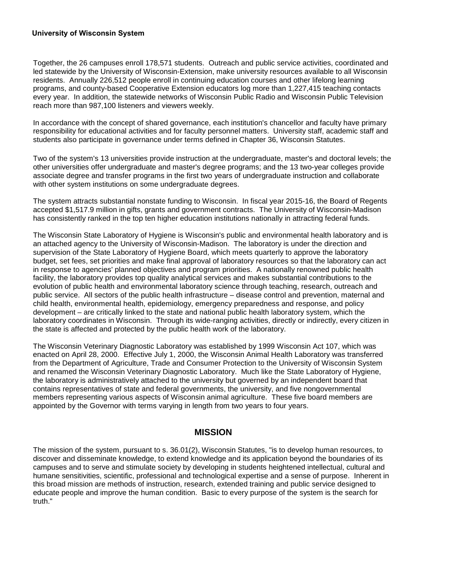#### **University of Wisconsin System**

Together, the 26 campuses enroll 178,571 students. Outreach and public service activities, coordinated and led statewide by the University of Wisconsin-Extension, make university resources available to all Wisconsin residents. Annually 226,512 people enroll in continuing education courses and other lifelong learning programs, and county-based Cooperative Extension educators log more than 1,227,415 teaching contacts every year. In addition, the statewide networks of Wisconsin Public Radio and Wisconsin Public Television reach more than 987,100 listeners and viewers weekly.

In accordance with the concept of shared governance, each institution's chancellor and faculty have primary responsibility for educational activities and for faculty personnel matters. University staff, academic staff and students also participate in governance under terms defined in Chapter 36, Wisconsin Statutes.

Two of the system's 13 universities provide instruction at the undergraduate, master's and doctoral levels; the other universities offer undergraduate and master's degree programs; and the 13 two-year colleges provide associate degree and transfer programs in the first two years of undergraduate instruction and collaborate with other system institutions on some undergraduate degrees.

The system attracts substantial nonstate funding to Wisconsin. In fiscal year 2015-16, the Board of Regents accepted \$1,517.9 million in gifts, grants and government contracts. The University of Wisconsin-Madison has consistently ranked in the top ten higher education institutions nationally in attracting federal funds.

The Wisconsin State Laboratory of Hygiene is Wisconsin's public and environmental health laboratory and is an attached agency to the University of Wisconsin-Madison. The laboratory is under the direction and supervision of the State Laboratory of Hygiene Board, which meets quarterly to approve the laboratory budget, set fees, set priorities and make final approval of laboratory resources so that the laboratory can act in response to agencies' planned objectives and program priorities. A nationally renowned public health facility, the laboratory provides top quality analytical services and makes substantial contributions to the evolution of public health and environmental laboratory science through teaching, research, outreach and public service. All sectors of the public health infrastructure – disease control and prevention, maternal and child health, environmental health, epidemiology, emergency preparedness and response, and policy development – are critically linked to the state and national public health laboratory system, which the laboratory coordinates in Wisconsin. Through its wide-ranging activities, directly or indirectly, every citizen in the state is affected and protected by the public health work of the laboratory.

The Wisconsin Veterinary Diagnostic Laboratory was established by 1999 Wisconsin Act 107, which was enacted on April 28, 2000. Effective July 1, 2000, the Wisconsin Animal Health Laboratory was transferred from the Department of Agriculture, Trade and Consumer Protection to the University of Wisconsin System and renamed the Wisconsin Veterinary Diagnostic Laboratory. Much like the State Laboratory of Hygiene. the laboratory is administratively attached to the university but governed by an independent board that contains representatives of state and federal governments, the university, and five nongovernmental members representing various aspects of Wisconsin animal agriculture. These five board members are appointed by the Governor with terms varying in length from two years to four years.

#### **MISSION**

The mission of the system, pursuant to s. 36.01(2), Wisconsin Statutes, "is to develop human resources, to discover and disseminate knowledge, to extend knowledge and its application beyond the boundaries of its campuses and to serve and stimulate society by developing in students heightened intellectual, cultural and humane sensitivities, scientific, professional and technological expertise and a sense of purpose. Inherent in this broad mission are methods of instruction, research, extended training and public service designed to educate people and improve the human condition. Basic to every purpose of the system is the search for truth."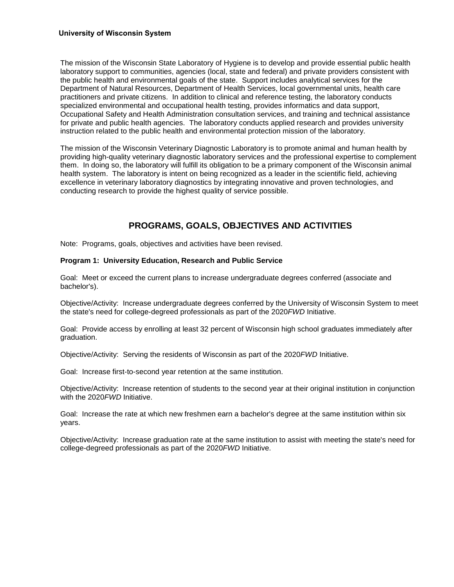#### **University of Wisconsin System**

The mission of the Wisconsin State Laboratory of Hygiene is to develop and provide essential public health laboratory support to communities, agencies (local, state and federal) and private providers consistent with the public health and environmental goals of the state. Support includes analytical services for the Department of Natural Resources, Department of Health Services, local governmental units, health care practitioners and private citizens. In addition to clinical and reference testing, the laboratory conducts specialized environmental and occupational health testing, provides informatics and data support, Occupational Safety and Health Administration consultation services, and training and technical assistance for private and public health agencies. The laboratory conducts applied research and provides university instruction related to the public health and environmental protection mission of the laboratory.

The mission of the Wisconsin Veterinary Diagnostic Laboratory is to promote animal and human health by providing high-quality veterinary diagnostic laboratory services and the professional expertise to complement them. In doing so, the laboratory will fulfill its obligation to be a primary component of the Wisconsin animal health system. The laboratory is intent on being recognized as a leader in the scientific field, achieving excellence in veterinary laboratory diagnostics by integrating innovative and proven technologies, and conducting research to provide the highest quality of service possible.

# **PROGRAMS, GOALS, OBJECTIVES AND ACTIVITIES**

Note: Programs, goals, objectives and activities have been revised.

#### **Program 1: University Education, Research and Public Service**

Goal: Meet or exceed the current plans to increase undergraduate degrees conferred (associate and bachelor's).

Objective/Activity: Increase undergraduate degrees conferred by the University of Wisconsin System to meet the state's need for college-degreed professionals as part of the 2020*FWD* Initiative.

Goal: Provide access by enrolling at least 32 percent of Wisconsin high school graduates immediately after graduation.

Objective/Activity: Serving the residents of Wisconsin as part of the 2020*FWD* Initiative.

Goal: Increase first-to-second year retention at the same institution.

Objective/Activity: Increase retention of students to the second year at their original institution in conjunction with the 2020*FWD* Initiative.

Goal: Increase the rate at which new freshmen earn a bachelor's degree at the same institution within six years.

Objective/Activity: Increase graduation rate at the same institution to assist with meeting the state's need for college-degreed professionals as part of the 2020*FWD* Initiative.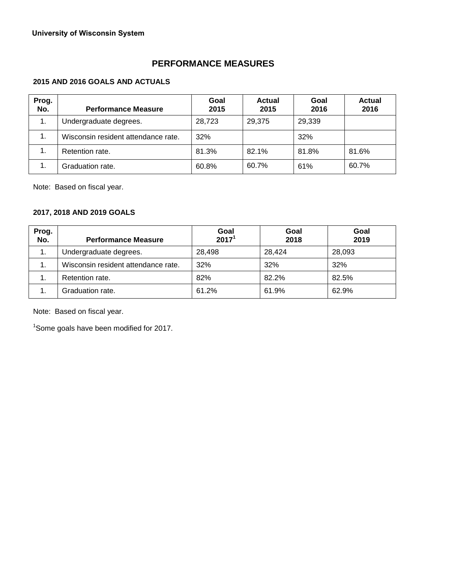# **PERFORMANCE MEASURES**

## **2015 AND 2016 GOALS AND ACTUALS**

| Prog.<br>No. | <b>Performance Measure</b>          | Goal<br>2015 | <b>Actual</b><br>2015 | Goal<br>2016 | Actual<br>2016 |
|--------------|-------------------------------------|--------------|-----------------------|--------------|----------------|
| 1.           | Undergraduate degrees.              | 28,723       | 29.375                | 29,339       |                |
| 1.           | Wisconsin resident attendance rate. | 32%          |                       | 32%          |                |
| 1.           | Retention rate.                     | 81.3%        | 82.1%                 | 81.8%        | 81.6%          |
| 1.           | Graduation rate.                    | 60.8%        | 60.7%                 | 61%          | 60.7%          |

Note: Based on fiscal year.

## **2017, 2018 AND 2019 GOALS**

| Prog.<br>No. | <b>Performance Measure</b>          | Goal<br>2017 <sup>1</sup> | Goal<br>2018 | Goal<br>2019 |
|--------------|-------------------------------------|---------------------------|--------------|--------------|
| 1.           | Undergraduate degrees.              | 28,498                    | 28,424       | 28,093       |
| 1.           | Wisconsin resident attendance rate. | 32%                       | 32%          | 32%          |
| 1.           | Retention rate.                     | 82%                       | 82.2%        | 82.5%        |
| 1.           | Graduation rate.                    | 61.2%                     | 61.9%        | 62.9%        |

Note: Based on fiscal year.

<sup>1</sup>Some goals have been modified for 2017.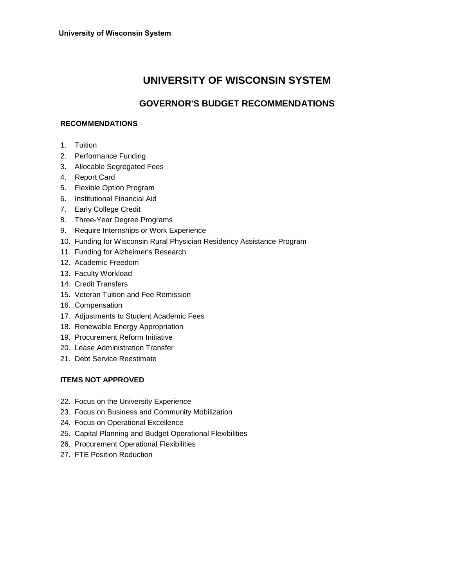# **UNIVERSITY OF WISCONSIN SYSTEM**

# **GOVERNOR'S BUDGET RECOMMENDATIONS**

## **RECOMMENDATIONS**

- 1. Tuition
- 2. Performance Funding
- 3. Allocable Segregated Fees
- 4. Report Card
- 5. Flexible Option Program
- 6. Institutional Financial Aid
- 7. Early College Credit
- 8. Three-Year Degree Programs
- 9. Require Internships or Work Experience
- 10. Funding for Wisconsin Rural Physician Residency Assistance Program
- 11. Funding for Alzheimer's Research
- 12. Academic Freedom
- 13. Faculty Workload
- 14. Credit Transfers
- 15. Veteran Tuition and Fee Remission
- 16. Compensation
- 17. Adjustments to Student Academic Fees
- 18. Renewable Energy Appropriation
- 19. Procurement Reform Initiative
- 20. Lease Administration Transfer
- 21. Debt Service Reestimate

# **ITEMS NOT APPROVED**

- 22. Focus on the University Experience
- 23. Focus on Business and Community Mobilization
- 24. Focus on Operational Excellence
- 25. Capital Planning and Budget Operational Flexibilities
- 26. Procurement Operational Flexibilities
- 27. FTE Position Reduction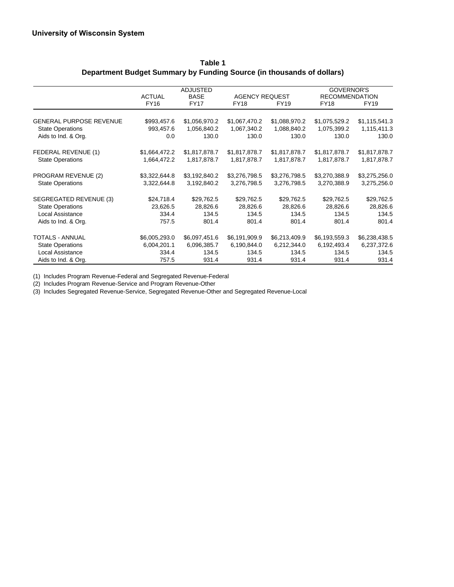|                                |               | <b>ADJUSTED</b> |                       |               | GOVERNOR'S            |               |
|--------------------------------|---------------|-----------------|-----------------------|---------------|-----------------------|---------------|
|                                | <b>ACTUAL</b> | <b>BASE</b>     | <b>AGENCY REQUEST</b> |               | <b>RECOMMENDATION</b> |               |
|                                | FY16          | <b>FY17</b>     | <b>FY18</b>           | FY19          | <b>FY18</b>           | <b>FY19</b>   |
| <b>GENERAL PURPOSE REVENUE</b> | \$993,457.6   | \$1,056,970.2   | \$1,067,470.2         | \$1,088,970.2 | \$1,075,529.2         | \$1,115,541.3 |
| <b>State Operations</b>        | 993,457.6     | 1,056,840.2     | 1,067,340.2           | 1,088,840.2   | 1,075,399.2           | 1,115,411.3   |
| Aids to Ind. & Org.            | 0.0           | 130.0           | 130.0                 | 130.0         | 130.0                 | 130.0         |
| FEDERAL REVENUE (1)            | \$1,664,472.2 | \$1,817,878.7   | \$1,817,878.7         | \$1,817,878.7 | \$1,817,878.7         | \$1,817,878.7 |
| <b>State Operations</b>        | 1,664,472.2   | 1,817,878.7     | 1,817,878.7           | 1,817,878.7   | 1,817,878.7           | 1,817,878.7   |
| PROGRAM REVENUE (2)            | \$3,322,644.8 | \$3,192,840.2   | \$3,276,798.5         | \$3,276,798.5 | \$3,270,388.9         | \$3,275,256.0 |
| <b>State Operations</b>        | 3,322,644.8   | 3,192,840.2     | 3,276,798.5           | 3,276,798.5   | 3,270,388.9           | 3,275,256.0   |
| SEGREGATED REVENUE (3)         | \$24,718.4    | \$29,762.5      | \$29,762.5            | \$29,762.5    | \$29,762.5            | \$29,762.5    |
| <b>State Operations</b>        | 23,626.5      | 28,826.6        | 28,826.6              | 28,826.6      | 28,826.6              | 28,826.6      |
| Local Assistance               | 334.4         | 134.5           | 134.5                 | 134.5         | 134.5                 | 134.5         |
| Aids to Ind. & Org.            | 757.5         | 801.4           | 801.4                 | 801.4         | 801.4                 | 801.4         |
| <b>TOTALS - ANNUAL</b>         | \$6,005,293.0 | \$6,097,451.6   | \$6,191,909.9         | \$6,213,409.9 | \$6,193,559.3         | \$6,238,438.5 |
| <b>State Operations</b>        | 6,004,201.1   | 6,096,385.7     | 6,190,844.0           | 6,212,344.0   | 6,192,493.4           | 6,237,372.6   |
| Local Assistance               | 334.4         | 134.5           | 134.5                 | 134.5         | 134.5                 | 134.5         |
| Aids to Ind. & Org.            | 757.5         | 931.4           | 931.4                 | 931.4         | 931.4                 | 931.4         |

**Table 1 Department Budget Summary by Funding Source (in thousands of dollars)**

(1) Includes Program Revenue-Federal and Segregated Revenue-Federal

(2) Includes Program Revenue-Service and Program Revenue-Other

(3) Includes Segregated Revenue-Service, Segregated Revenue-Other and Segregated Revenue-Local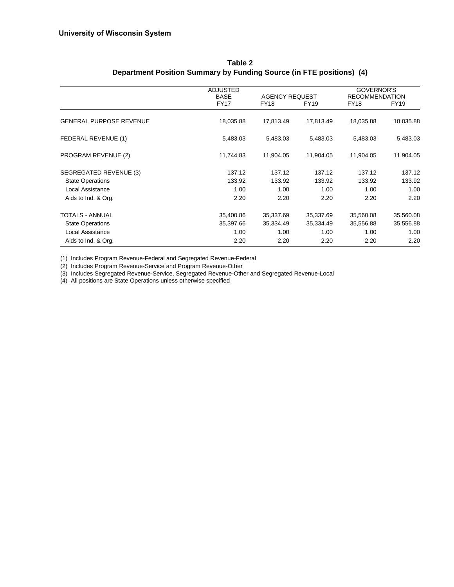|                                | <b>ADJUSTED</b><br><b>BASE</b> | <b>AGENCY REQUEST</b> |             | <b>GOVERNOR'S</b><br><b>RECOMMENDATION</b> |             |
|--------------------------------|--------------------------------|-----------------------|-------------|--------------------------------------------|-------------|
|                                | <b>FY17</b>                    | <b>FY18</b>           | <b>FY19</b> | <b>FY18</b>                                | <b>FY19</b> |
| <b>GENERAL PURPOSE REVENUE</b> | 18,035.88                      | 17,813.49             | 17,813.49   | 18,035.88                                  | 18,035.88   |
| FEDERAL REVENUE (1)            | 5,483.03                       | 5,483.03              | 5,483.03    | 5,483.03                                   | 5,483.03    |
| PROGRAM REVENUE (2)            | 11,744.83                      | 11,904.05             | 11,904.05   | 11,904.05                                  | 11,904.05   |
| SEGREGATED REVENUE (3)         | 137.12                         | 137.12                | 137.12      | 137.12                                     | 137.12      |
| <b>State Operations</b>        | 133.92                         | 133.92                | 133.92      | 133.92                                     | 133.92      |
| Local Assistance               | 1.00                           | 1.00                  | 1.00        | 1.00                                       | 1.00        |
| Aids to Ind. & Org.            | 2.20                           | 2.20                  | 2.20        | 2.20                                       | 2.20        |
| TOTALS - ANNUAL                | 35,400.86                      | 35,337.69             | 35,337.69   | 35,560.08                                  | 35,560.08   |
| <b>State Operations</b>        | 35,397.66                      | 35,334.49             | 35,334.49   | 35,556.88                                  | 35,556.88   |
| Local Assistance               | 1.00                           | 1.00                  | 1.00        | 1.00                                       | 1.00        |
| Aids to Ind. & Org.            | 2.20                           | 2.20                  | 2.20        | 2.20                                       | 2.20        |

#### **Table 2 Department Position Summary by Funding Source (in FTE positions) (4)**

(1) Includes Program Revenue-Federal and Segregated Revenue-Federal

(2) Includes Program Revenue-Service and Program Revenue-Other

(3) Includes Segregated Revenue-Service, Segregated Revenue-Other and Segregated Revenue-Local

(4) All positions are State Operations unless otherwise specified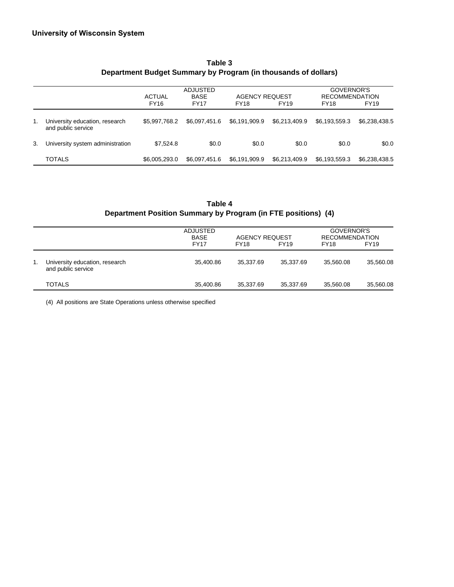|    |                                                      | <b>ACTUAL</b><br><b>FY16</b> | <b>ADJUSTED</b><br><b>BASE</b><br><b>FY17</b> | <b>AGENCY REQUEST</b><br><b>FY18</b> | <b>FY19</b>   | GOVERNOR'S<br><b>RECOMMENDATION</b><br><b>FY19</b><br><b>FY18</b> |               |
|----|------------------------------------------------------|------------------------------|-----------------------------------------------|--------------------------------------|---------------|-------------------------------------------------------------------|---------------|
| 1. | University education, research<br>and public service | \$5.997.768.2                | \$6,097,451.6                                 | \$6.191.909.9                        | \$6,213,409.9 | \$6,193,559.3                                                     | \$6,238,438.5 |
| 3. | University system administration                     | \$7.524.8                    | \$0.0                                         | \$0.0                                | \$0.0         | \$0.0                                                             | \$0.0         |
|    | <b>TOTALS</b>                                        | \$6,005,293.0                | \$6.097.451.6                                 | \$6.191.909.9                        | \$6,213,409.9 | \$6.193.559.3                                                     | \$6,238,438.5 |

# **Table 3 Department Budget Summary by Program (in thousands of dollars)**

# **Table 4 Department Position Summary by Program (in FTE positions) (4)**

|    |                                                      | ADJUSTED<br><b>BASE</b> | <b>AGENCY REQUEST</b> |             | GOVERNOR'S<br><b>RECOMMENDATION</b> |             |
|----|------------------------------------------------------|-------------------------|-----------------------|-------------|-------------------------------------|-------------|
|    |                                                      | <b>FY17</b>             | <b>FY18</b>           | <b>FY19</b> | <b>FY18</b>                         | <b>FY19</b> |
| 1. | University education, research<br>and public service | 35.400.86               | 35.337.69             | 35.337.69   | 35.560.08                           | 35,560.08   |
|    | <b>TOTALS</b>                                        | 35.400.86               | 35.337.69             | 35.337.69   | 35.560.08                           | 35.560.08   |

(4) All positions are State Operations unless otherwise specified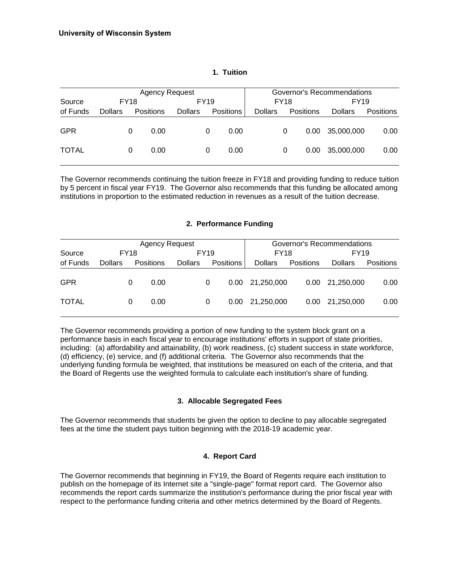|              |                | <b>Agency Request</b> |           |                |             | Governor's Recommendations |                |             |                   |                |                  |
|--------------|----------------|-----------------------|-----------|----------------|-------------|----------------------------|----------------|-------------|-------------------|----------------|------------------|
| Source       |                | <b>FY18</b>           |           |                | <b>FY19</b> |                            |                | <b>FY18</b> |                   | FY19           |                  |
| of Funds     | <b>Dollars</b> |                       | Positions | <b>Dollars</b> |             | <b>Positions</b>           | <b>Dollars</b> |             | Positions         | <b>Dollars</b> | <b>Positions</b> |
| <b>GPR</b>   |                | 0                     | 0.00      |                | 0           | 0.00                       |                | 0           | 0.00 <sub>1</sub> | 35,000,000     | 0.00             |
| <b>TOTAL</b> |                | 0                     | 0.00      |                | 0           | 0.00                       |                | 0           | 0.00              | 35,000,000     | 0.00             |

#### **1. Tuition**

The Governor recommends continuing the tuition freeze in FY18 and providing funding to reduce tuition by 5 percent in fiscal year FY19. The Governor also recommends that this funding be allocated among institutions in proportion to the estimated reduction in revenues as a result of the tuition decrease.

#### **2. Performance Funding**

|              |                |             | <b>Agency Request</b> |                |      | Governor's Recommendations |                |                   |                |                  |
|--------------|----------------|-------------|-----------------------|----------------|------|----------------------------|----------------|-------------------|----------------|------------------|
| Source       |                | <b>FY18</b> |                       |                | FY19 |                            | FY18           |                   | <b>FY19</b>    |                  |
| of Funds     | <b>Dollars</b> |             | <b>Positions</b>      | <b>Dollars</b> |      | <b>Positions</b>           | <b>Dollars</b> | <b>Positions</b>  | <b>Dollars</b> | <b>Positions</b> |
| <b>GPR</b>   |                | 0           | 0.00                  |                | 0    | 0.00                       | 21,250,000     | 0.00 <sub>1</sub> | 21,250,000     | 0.00             |
| <b>TOTAL</b> |                | 0           | 0.00                  |                | 0    | 0.00                       | 21.250.000     | 0.00 <sub>1</sub> | 21.250.000     | 0.00             |

The Governor recommends providing a portion of new funding to the system block grant on a performance basis in each fiscal year to encourage institutions' efforts in support of state priorities, including: (a) affordability and attainability, (b) work readiness, (c) student success in state workforce, (d) efficiency, (e) service, and (f) additional criteria. The Governor also recommends that the underlying funding formula be weighted, that institutions be measured on each of the criteria, and that the Board of Regents use the weighted formula to calculate each institution's share of funding.

#### **3. Allocable Segregated Fees**

The Governor recommends that students be given the option to decline to pay allocable segregated fees at the time the student pays tuition beginning with the 2018-19 academic year.

#### **4. Report Card**

The Governor recommends that beginning in FY19, the Board of Regents require each institution to publish on the homepage of its Internet site a "single-page" format report card. The Governor also recommends the report cards summarize the institution's performance during the prior fiscal year with respect to the performance funding criteria and other metrics determined by the Board of Regents.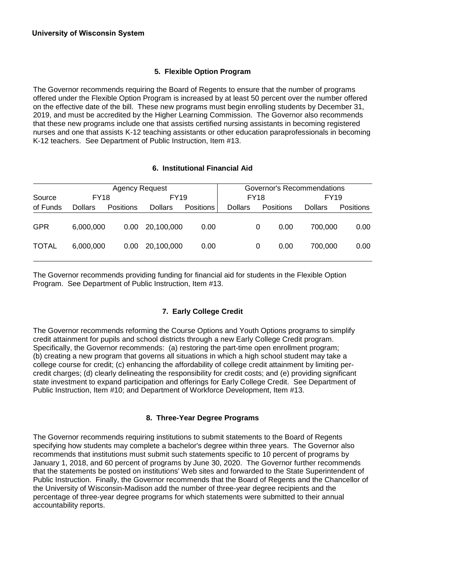## **5. Flexible Option Program**

The Governor recommends requiring the Board of Regents to ensure that the number of programs offered under the Flexible Option Program is increased by at least 50 percent over the number offered on the effective date of the bill. These new programs must begin enrolling students by December 31, 2019, and must be accredited by the Higher Learning Commission. The Governor also recommends that these new programs include one that assists certified nursing assistants in becoming registered nurses and one that assists K-12 teaching assistants or other education paraprofessionals in becoming K-12 teachers. See Department of Public Instruction, Item #13.

#### **6. Institutional Financial Aid**

|              |                | <b>Agency Request</b> |                | Governor's Recommendations |                |             |                 |                  |  |
|--------------|----------------|-----------------------|----------------|----------------------------|----------------|-------------|-----------------|------------------|--|
| Source       | <b>FY18</b>    |                       | <b>FY19</b>    |                            |                | <b>FY18</b> | FY19            |                  |  |
| of Funds     | <b>Dollars</b> | <b>Positions</b>      | <b>Dollars</b> | <b>Positions</b>           | <b>Dollars</b> | Positions   | <b>Dollars</b>  | <b>Positions</b> |  |
| <b>GPR</b>   | 6.000.000      | 0.00                  | 20.100.000     | 0.00                       |                | 0           | 0.00<br>700.000 | 0.00             |  |
| <b>TOTAL</b> | 6.000.000      | 0.00                  | 20.100.000     | 0.00                       |                | 0           | 0.00<br>700.000 | 0.00             |  |

The Governor recommends providing funding for financial aid for students in the Flexible Option Program. See Department of Public Instruction, Item #13.

# **7. Early College Credit**

The Governor recommends reforming the Course Options and Youth Options programs to simplify credit attainment for pupils and school districts through a new Early College Credit program. Specifically, the Governor recommends: (a) restoring the part-time open enrollment program; (b) creating a new program that governs all situations in which a high school student may take a college course for credit; (c) enhancing the affordability of college credit attainment by limiting percredit charges; (d) clearly delineating the responsibility for credit costs; and (e) providing significant state investment to expand participation and offerings for Early College Credit. See Department of Public Instruction, Item #10; and Department of Workforce Development, Item #13.

#### **8. Three-Year Degree Programs**

The Governor recommends requiring institutions to submit statements to the Board of Regents specifying how students may complete a bachelor's degree within three years. The Governor also recommends that institutions must submit such statements specific to 10 percent of programs by January 1, 2018, and 60 percent of programs by June 30, 2020. The Governor further recommends that the statements be posted on institutions' Web sites and forwarded to the State Superintendent of Public Instruction. Finally, the Governor recommends that the Board of Regents and the Chancellor of the University of Wisconsin-Madison add the number of three-year degree recipients and the percentage of three-year degree programs for which statements were submitted to their annual accountability reports.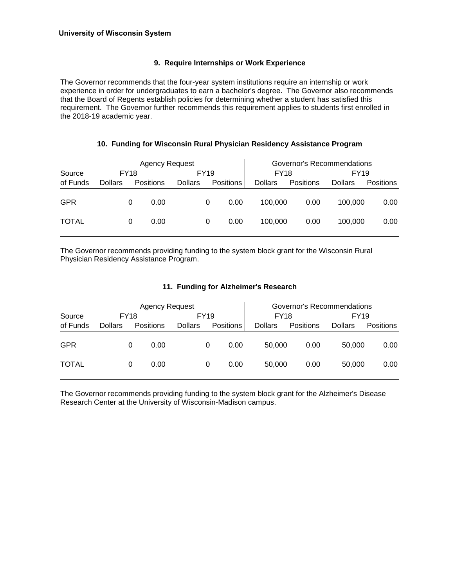#### **9. Require Internships or Work Experience**

The Governor recommends that the four-year system institutions require an internship or work experience in order for undergraduates to earn a bachelor's degree. The Governor also recommends that the Board of Regents establish policies for determining whether a student has satisfied this requirement. The Governor further recommends this requirement applies to students first enrolled in the 2018-19 academic year.

#### **10. Funding for Wisconsin Rural Physician Residency Assistance Program**

|              |                |   | Agency Request   |                | Governor's Recommendations |                  |                |           |                |           |
|--------------|----------------|---|------------------|----------------|----------------------------|------------------|----------------|-----------|----------------|-----------|
| Source       | <b>FY18</b>    |   |                  |                | <b>FY19</b>                |                  | <b>FY18</b>    |           | <b>FY19</b>    |           |
| of Funds     | <b>Dollars</b> |   | <b>Positions</b> | <b>Dollars</b> |                            | <b>Positions</b> | <b>Dollars</b> | Positions | <b>Dollars</b> | Positions |
| <b>GPR</b>   |                | 0 | 0.00             |                | 0                          | 0.00             | 100.000        | 0.00      | 100.000        | 0.00      |
| <b>TOTAL</b> |                | 0 | 0.00             |                | 0                          | 0.00             | 100.000        | 0.00      | 100.000        | 0.00      |

The Governor recommends providing funding to the system block grant for the Wisconsin Rural Physician Residency Assistance Program.

#### **11. Funding for Alzheimer's Research**

|              |                |   | Agency Request   |                |   |                  | Governor's Recommendations |                  |                |           |  |  |
|--------------|----------------|---|------------------|----------------|---|------------------|----------------------------|------------------|----------------|-----------|--|--|
| Source       | <b>FY18</b>    |   |                  | FY19           |   |                  |                            | FY18             | <b>FY19</b>    |           |  |  |
| of Funds     | <b>Dollars</b> |   | <b>Positions</b> | <b>Dollars</b> |   | <b>Positions</b> | <b>Dollars</b>             | <b>Positions</b> | <b>Dollars</b> | Positions |  |  |
| <b>GPR</b>   |                | 0 | 0.00             |                | 0 | 0.00             | 50,000                     | 0.00             | 50,000         | 0.00      |  |  |
| <b>TOTAL</b> |                | 0 | 0.00             |                | 0 | 0.00             | 50,000                     | 0.00             | 50,000         | 0.00      |  |  |

The Governor recommends providing funding to the system block grant for the Alzheimer's Disease Research Center at the University of Wisconsin-Madison campus.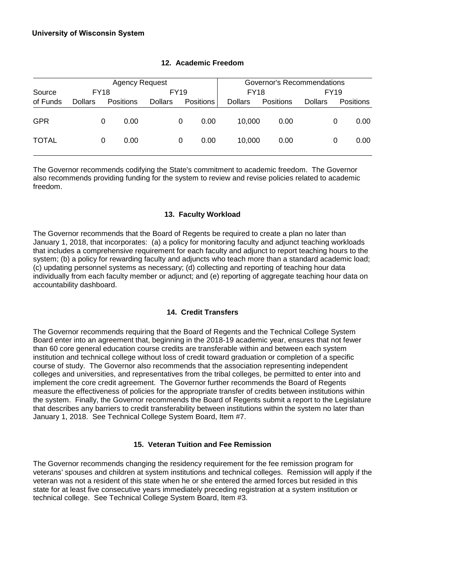|              |                |   | <b>Agency Request</b> |                | Governor's Recommendations |           |                |                  |                |                  |  |
|--------------|----------------|---|-----------------------|----------------|----------------------------|-----------|----------------|------------------|----------------|------------------|--|
| Source       | <b>FY18</b>    |   |                       | <b>FY19</b>    |                            |           | <b>FY18</b>    |                  | <b>FY19</b>    |                  |  |
| of Funds     | <b>Dollars</b> |   | Positions             | <b>Dollars</b> |                            | Positions | <b>Dollars</b> | <b>Positions</b> | <b>Dollars</b> | <b>Positions</b> |  |
| <b>GPR</b>   |                | 0 | 0.00                  |                | 0                          | 0.00      | 10.000         | 0.00             |                | 0.00<br>0        |  |
| <b>TOTAL</b> |                | 0 | 0.00                  |                | 0                          | 0.00      | 10.000         | 0.00             |                | 0.00<br>0        |  |

#### **12. Academic Freedom**

The Governor recommends codifying the State's commitment to academic freedom. The Governor also recommends providing funding for the system to review and revise policies related to academic freedom.

## **13. Faculty Workload**

The Governor recommends that the Board of Regents be required to create a plan no later than January 1, 2018, that incorporates: (a) a policy for monitoring faculty and adjunct teaching workloads that includes a comprehensive requirement for each faculty and adjunct to report teaching hours to the system; (b) a policy for rewarding faculty and adjuncts who teach more than a standard academic load; (c) updating personnel systems as necessary; (d) collecting and reporting of teaching hour data individually from each faculty member or adjunct; and (e) reporting of aggregate teaching hour data on accountability dashboard.

#### **14. Credit Transfers**

The Governor recommends requiring that the Board of Regents and the Technical College System Board enter into an agreement that, beginning in the 2018-19 academic year, ensures that not fewer than 60 core general education course credits are transferable within and between each system institution and technical college without loss of credit toward graduation or completion of a specific course of study. The Governor also recommends that the association representing independent colleges and universities, and representatives from the tribal colleges, be permitted to enter into and implement the core credit agreement. The Governor further recommends the Board of Regents measure the effectiveness of policies for the appropriate transfer of credits between institutions within the system. Finally, the Governor recommends the Board of Regents submit a report to the Legislature that describes any barriers to credit transferability between institutions within the system no later than January 1, 2018. See Technical College System Board, Item #7.

#### **15. Veteran Tuition and Fee Remission**

The Governor recommends changing the residency requirement for the fee remission program for veterans' spouses and children at system institutions and technical colleges. Remission will apply if the veteran was not a resident of this state when he or she entered the armed forces but resided in this state for at least five consecutive years immediately preceding registration at a system institution or technical college. See Technical College System Board, Item #3.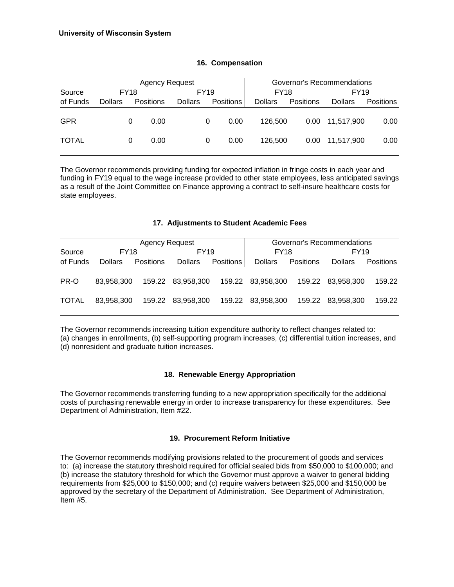|              |                |   | <b>Agency Request</b> |                | Governor's Recommendations |                  |                |                   |                |           |
|--------------|----------------|---|-----------------------|----------------|----------------------------|------------------|----------------|-------------------|----------------|-----------|
| Source       | <b>FY18</b>    |   |                       | <b>FY19</b>    |                            |                  | <b>FY18</b>    |                   | FY19           |           |
| of Funds     | <b>Dollars</b> |   | <b>Positions</b>      | <b>Dollars</b> |                            | <b>Positions</b> | <b>Dollars</b> | <b>Positions</b>  | <b>Dollars</b> | Positions |
| <b>GPR</b>   |                | 0 | 0.00                  |                | 0                          | 0.00             | 126,500        | 0.00 <sub>1</sub> | 11,517,900     | 0.00      |
| <b>TOTAL</b> |                | 0 | 0.00                  |                | 0                          | 0.00             | 126,500        | 0.00              | 11.517.900     | 0.00      |

#### **16. Compensation**

The Governor recommends providing funding for expected inflation in fringe costs in each year and funding in FY19 equal to the wage increase provided to other state employees, less anticipated savings as a result of the Joint Committee on Finance approving a contract to self-insure healthcare costs for state employees.

#### **17. Adjustments to Student Academic Fees**

|              |                | <b>Agency Request</b> |                   | Governor's Recommendations |                   |                  |                   |                  |  |
|--------------|----------------|-----------------------|-------------------|----------------------------|-------------------|------------------|-------------------|------------------|--|
| Source       | <b>FY18</b>    |                       | <b>FY19</b>       |                            | <b>FY18</b>       |                  | FY <sub>19</sub>  |                  |  |
| of Funds     | <b>Dollars</b> | <b>Positions</b>      | <b>Dollars</b>    | <b>Positions</b>           | <b>Dollars</b>    | <b>Positions</b> | <b>Dollars</b>    | <b>Positions</b> |  |
| PR-O         | 83.958.300     |                       | 159.22 83,958,300 |                            | 159.22 83,958,300 |                  | 159.22 83.958.300 | 159.22           |  |
| <b>TOTAL</b> | 83.958.300     |                       | 159.22 83,958,300 |                            | 159.22 83,958,300 |                  | 159.22 83.958.300 | 159.22           |  |

The Governor recommends increasing tuition expenditure authority to reflect changes related to: (a) changes in enrollments, (b) self-supporting program increases, (c) differential tuition increases, and (d) nonresident and graduate tuition increases.

#### **18. Renewable Energy Appropriation**

The Governor recommends transferring funding to a new appropriation specifically for the additional costs of purchasing renewable energy in order to increase transparency for these expenditures. See Department of Administration, Item #22.

#### **19. Procurement Reform Initiative**

The Governor recommends modifying provisions related to the procurement of goods and services to: (a) increase the statutory threshold required for official sealed bids from \$50,000 to \$100,000; and (b) increase the statutory threshold for which the Governor must approve a waiver to general bidding requirements from \$25,000 to \$150,000; and (c) require waivers between \$25,000 and \$150,000 be approved by the secretary of the Department of Administration. See Department of Administration, Item #5.